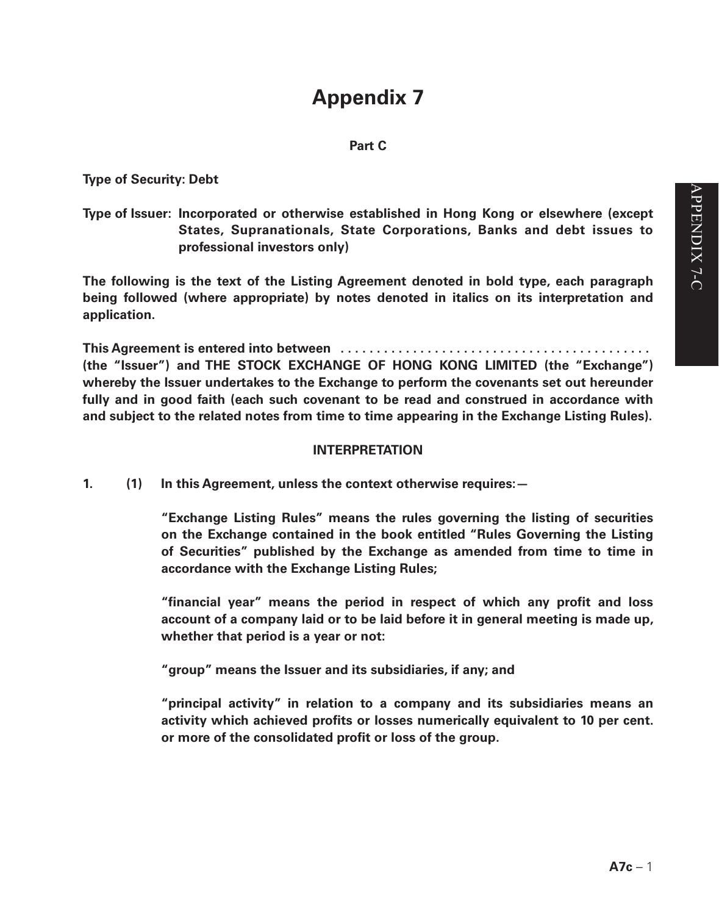# **Appendix 7**

## **Part C**

**Type of Security: Debt**

# **Type of Issuer: Incorporated or otherwise established in Hong Kong or elsewhere (except States, Supranationals, State Corporations, Banks and debt issues to professional investors only)**

**The following is the text of the Listing Agreement denoted in bold type, each paragraph being followed (where appropriate) by notes denoted in italics on its interpretation and application.**

**This Agreement is entered into between . . (the "Issuer") and THE STOCK EXCHANGE OF HONG KONG LIMITED (the "Exchange") whereby the Issuer undertakes to the Exchange to perform the covenants set out hereunder fully and in good faith (each such covenant to be read and construed in accordance with and subject to the related notes from time to time appearing in the Exchange Listing Rules).**

## **INTERPRETATION**

**1. (1) In this Agreement, unless the context otherwise requires:—**

**"Exchange Listing Rules" means the rules governing the listing of securities on the Exchange contained in the book entitled "Rules Governing the Listing of Securities" published by the Exchange as amended from time to time in accordance with the Exchange Listing Rules;**

**"financial year" means the period in respect of which any profit and loss account of a company laid or to be laid before it in general meeting is made up, whether that period is a year or not:**

**"group" means the Issuer and its subsidiaries, if any; and**

**"principal activity" in relation to a company and its subsidiaries means an activity which achieved profits or losses numerically equivalent to 10 per cent. or more of the consolidated profit or loss of the group.**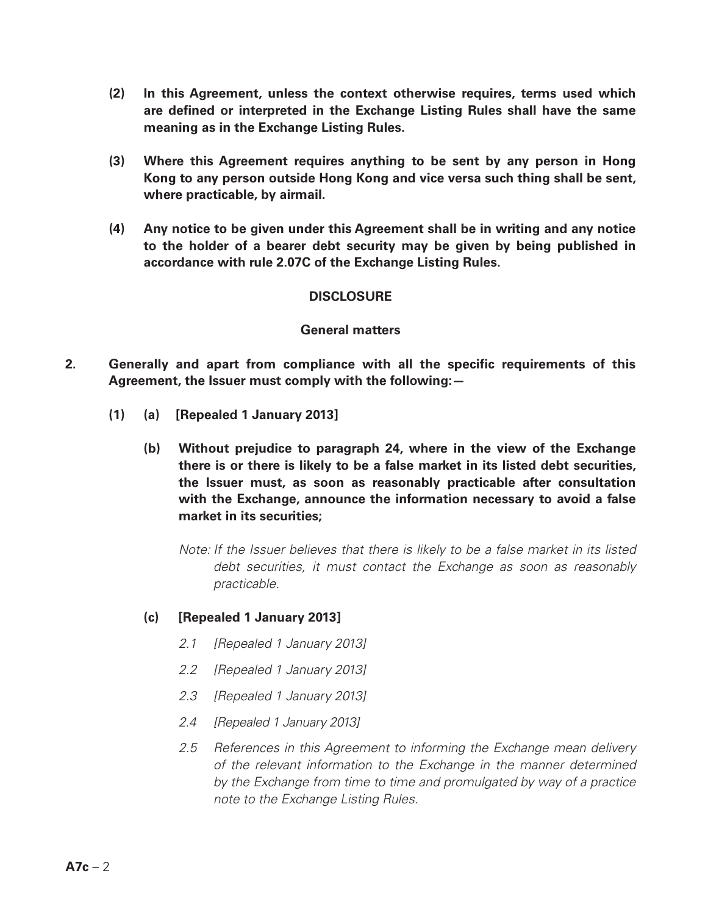- **(2) In this Agreement, unless the context otherwise requires, terms used which are defined or interpreted in the Exchange Listing Rules shall have the same meaning as in the Exchange Listing Rules.**
- **(3) Where this Agreement requires anything to be sent by any person in Hong Kong to any person outside Hong Kong and vice versa such thing shall be sent, where practicable, by airmail.**
- **(4) Any notice to be given under this Agreement shall be in writing and any notice to the holder of a bearer debt security may be given by being published in accordance with rule 2.07C of the Exchange Listing Rules.**

### **DISCLOSURE**

#### **General matters**

- **2. Generally and apart from compliance with all the specific requirements of this Agreement, the Issuer must comply with the following:—**
	- **(1) (a) [Repealed 1 January 2013]**
		- **(b) Without prejudice to paragraph 24, where in the view of the Exchange there is or there is likely to be a false market in its listed debt securities, the Issuer must, as soon as reasonably practicable after consultation with the Exchange, announce the information necessary to avoid a false market in its securities;**

*Note: If the Issuer believes that there is likely to be a false market in its listed debt securities, it must contact the Exchange as soon as reasonably practicable.*

### **(c) [Repealed 1 January 2013]**

- *2.1 [Repealed 1 January 2013]*
- *2.2 [Repealed 1 January 2013]*
- *2.3 [Repealed 1 January 2013]*
- *2.4 [Repealed 1 January 2013]*
- *2.5 References in this Agreement to informing the Exchange mean delivery of the relevant information to the Exchange in the manner determined by the Exchange from time to time and promulgated by way of a practice note to the Exchange Listing Rules.*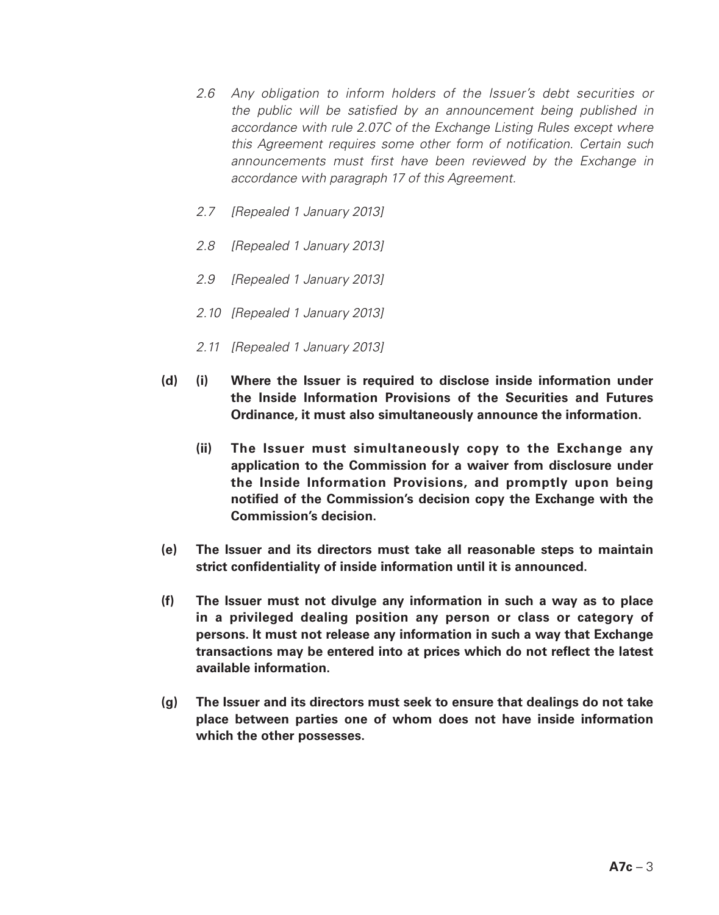- *2.6 Any obligation to inform holders of the Issuer's debt securities or the public will be satisfied by an announcement being published in accordance with rule 2.07C of the Exchange Listing Rules except where this Agreement requires some other form of notification. Certain such*  announcements must first have been reviewed by the Exchange in *accordance with paragraph 17 of this Agreement.*
- *2.7 [Repealed 1 January 2013]*
- *2.8 [Repealed 1 January 2013]*
- *2.9 [Repealed 1 January 2013]*
- *2.10 [Repealed 1 January 2013]*
- *2.11 [Repealed 1 January 2013]*
- **(d) (i) Where the Issuer is required to disclose inside information under the Inside Information Provisions of the Securities and Futures Ordinance, it must also simultaneously announce the information.**
	- **(ii) The Issuer must simultaneously copy to the Exchange any application to the Commission for a waiver from disclosure under the Inside Information Provisions, and promptly upon being notified of the Commission's decision copy the Exchange with the Commission's decision.**
- **(e) The Issuer and its directors must take all reasonable steps to maintain strict confidentiality of inside information until it is announced.**
- **(f) The Issuer must not divulge any information in such a way as to place in a privileged dealing position any person or class or category of persons. It must not release any information in such a way that Exchange transactions may be entered into at prices which do not reflect the latest available information.**
- **(g) The Issuer and its directors must seek to ensure that dealings do not take place between parties one of whom does not have inside information which the other possesses.**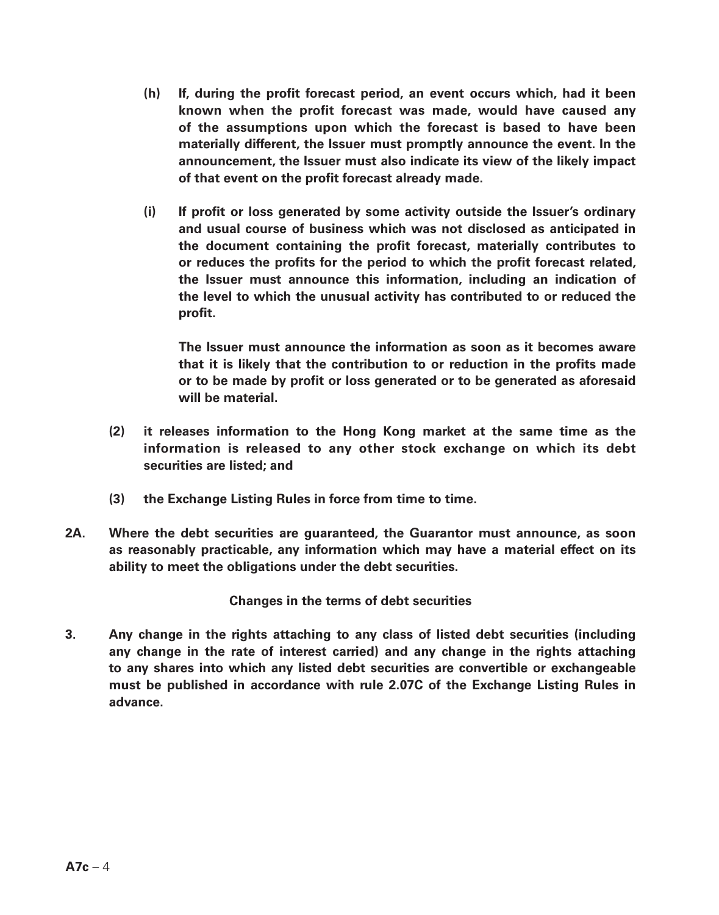- **(h) If, during the profit forecast period, an event occurs which, had it been known when the profit forecast was made, would have caused any of the assumptions upon which the forecast is based to have been materially different, the Issuer must promptly announce the event. In the announcement, the Issuer must also indicate its view of the likely impact of that event on the profit forecast already made.**
- **(i) If profit or loss generated by some activity outside the Issuer's ordinary and usual course of business which was not disclosed as anticipated in the document containing the profit forecast, materially contributes to or reduces the profits for the period to which the profit forecast related, the Issuer must announce this information, including an indication of the level to which the unusual activity has contributed to or reduced the profit.**

**The Issuer must announce the information as soon as it becomes aware that it is likely that the contribution to or reduction in the profits made or to be made by profit or loss generated or to be generated as aforesaid will be material.**

- **(2) it releases information to the Hong Kong market at the same time as the information is released to any other stock exchange on which its debt securities are listed; and**
- **(3) the Exchange Listing Rules in force from time to time.**
- **2A. Where the debt securities are guaranteed, the Guarantor must announce, as soon as reasonably practicable, any information which may have a material effect on its ability to meet the obligations under the debt securities.**

**Changes in the terms of debt securities**

**3. Any change in the rights attaching to any class of listed debt securities (including any change in the rate of interest carried) and any change in the rights attaching to any shares into which any listed debt securities are convertible or exchangeable must be published in accordance with rule 2.07C of the Exchange Listing Rules in advance.**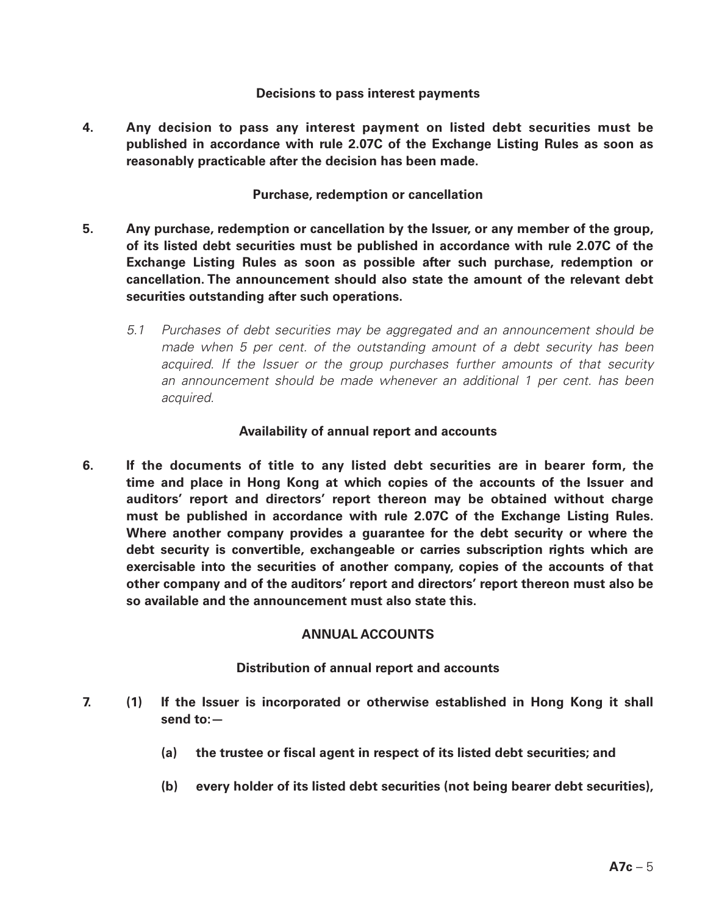#### **Decisions to pass interest payments**

**4. Any decision to pass any interest payment on listed debt securities must be published in accordance with rule 2.07C of the Exchange Listing Rules as soon as reasonably practicable after the decision has been made.**

#### **Purchase, redemption or cancellation**

- **5. Any purchase, redemption or cancellation by the Issuer, or any member of the group, of its listed debt securities must be published in accordance with rule 2.07C of the Exchange Listing Rules as soon as possible after such purchase, redemption or cancellation. The announcement should also state the amount of the relevant debt securities outstanding after such operations.**
	- *5.1 Purchases of debt securities may be aggregated and an announcement should be made when 5 per cent. of the outstanding amount of a debt security has been acquired. If the Issuer or the group purchases further amounts of that security an announcement should be made whenever an additional 1 per cent. has been acquired.*

### **Availability of annual report and accounts**

**6. If the documents of title to any listed debt securities are in bearer form, the time and place in Hong Kong at which copies of the accounts of the Issuer and auditors' report and directors' report thereon may be obtained without charge must be published in accordance with rule 2.07C of the Exchange Listing Rules. Where another company provides a guarantee for the debt security or where the debt security is convertible, exchangeable or carries subscription rights which are exercisable into the securities of another company, copies of the accounts of that other company and of the auditors' report and directors' report thereon must also be so available and the announcement must also state this.**

## **ANNUAL ACCOUNTS**

### **Distribution of annual report and accounts**

- **7. (1) If the Issuer is incorporated or otherwise established in Hong Kong it shall send to:—**
	- **(a) the trustee or fiscal agent in respect of its listed debt securities; and**
	- **(b) every holder of its listed debt securities (not being bearer debt securities),**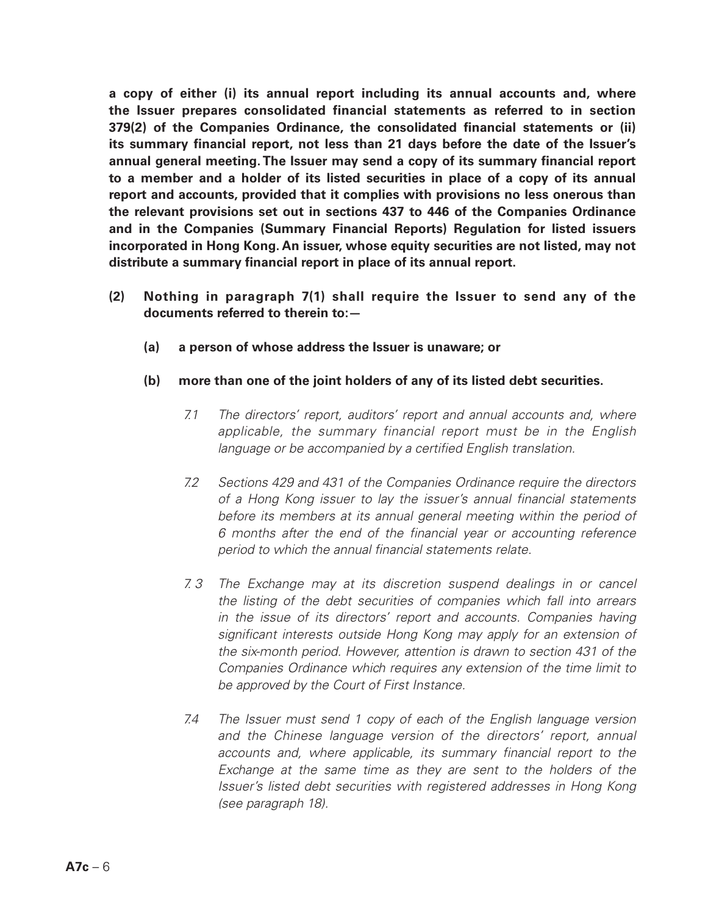**a copy of either (i) its annual report including its annual accounts and, where the Issuer prepares consolidated financial statements as referred to in section 379(2) of the Companies Ordinance, the consolidated financial statements or (ii) its summary financial report, not less than 21 days before the date of the Issuer's annual general meeting. The Issuer may send a copy of its summary financial report to a member and a holder of its listed securities in place of a copy of its annual report and accounts, provided that it complies with provisions no less onerous than the relevant provisions set out in sections 437 to 446 of the Companies Ordinance and in the Companies (Summary Financial Reports) Regulation for listed issuers incorporated in Hong Kong. An issuer, whose equity securities are not listed, may not distribute a summary financial report in place of its annual report.**

- **(2) Nothing in paragraph 7(1) shall require the Issuer to send any of the documents referred to therein to:—**
	- **(a) a person of whose address the Issuer is unaware; or**
	- **(b) more than one of the joint holders of any of its listed debt securities.**
		- *7.1 The directors' report, auditors' report and annual accounts and, where applicable, the summary financial report must be in the English language or be accompanied by a certified English translation.*
		- *7.2 Sections 429 and 431 of the Companies Ordinance require the directors of a Hong Kong issuer to lay the issuer's annual financial statements before its members at its annual general meeting within the period of 6 months after the end of the financial year or accounting reference period to which the annual financial statements relate.*
		- *7. 3 The Exchange may at its discretion suspend dealings in or cancel the listing of the debt securities of companies which fall into arrears in the issue of its directors' report and accounts. Companies having significant interests outside Hong Kong may apply for an extension of the six-month period. However, attention is drawn to section 431 of the Companies Ordinance which requires any extension of the time limit to be approved by the Court of First Instance.*
		- *7.4 The Issuer must send 1 copy of each of the English language version and the Chinese language version of the directors' report, annual accounts and, where applicable, its summary financial report to the Exchange at the same time as they are sent to the holders of the Issuer's listed debt securities with registered addresses in Hong Kong (see paragraph 18).*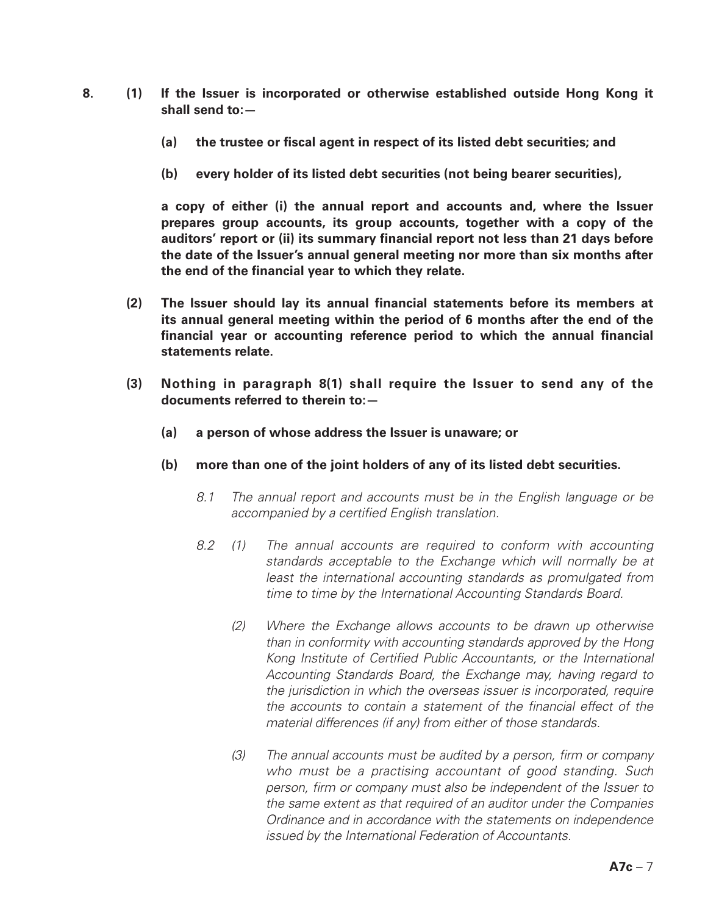- **8. (1) If the Issuer is incorporated or otherwise established outside Hong Kong it shall send to:—**
	- **(a) the trustee or fiscal agent in respect of its listed debt securities; and**
	- **(b) every holder of its listed debt securities (not being bearer securities),**

**a copy of either (i) the annual report and accounts and, where the Issuer prepares group accounts, its group accounts, together with a copy of the auditors' report or (ii) its summary financial report not less than 21 days before the date of the Issuer's annual general meeting nor more than six months after the end of the financial year to which they relate.**

- **(2) The Issuer should lay its annual financial statements before its members at its annual general meeting within the period of 6 months after the end of the financial year or accounting reference period to which the annual financial statements relate.**
- **(3) Nothing in paragraph 8(1) shall require the Issuer to send any of the documents referred to therein to:—**
	- **(a) a person of whose address the Issuer is unaware; or**
	- **(b) more than one of the joint holders of any of its listed debt securities.**
		- *8.1 The annual report and accounts must be in the English language or be accompanied by a certified English translation.*
		- *8.2 (1) The annual accounts are required to conform with accounting standards acceptable to the Exchange which will normally be at*  least the international accounting standards as promulgated from *time to time by the International Accounting Standards Board.*
			- *(2) Where the Exchange allows accounts to be drawn up otherwise than in conformity with accounting standards approved by the Hong Kong Institute of Certified Public Accountants, or the International Accounting Standards Board, the Exchange may, having regard to the jurisdiction in which the overseas issuer is incorporated, require the accounts to contain a statement of the financial effect of the material differences (if any) from either of those standards.*
			- *(3) The annual accounts must be audited by a person, firm or company who must be a practising accountant of good standing. Such person, firm or company must also be independent of the Issuer to the same extent as that required of an auditor under the Companies Ordinance and in accordance with the statements on independence issued by the International Federation of Accountants.*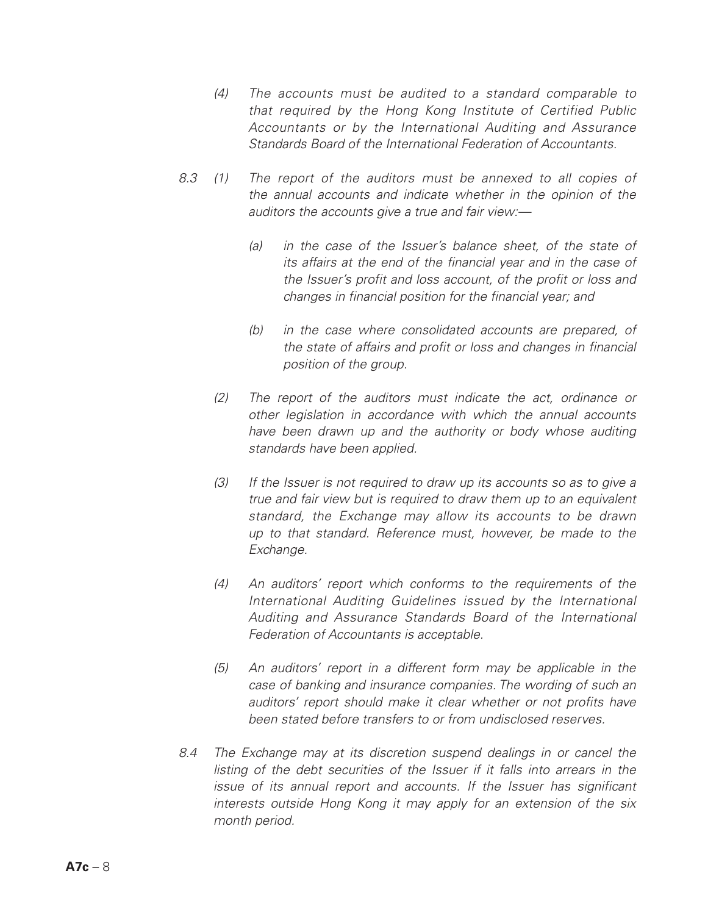- *(4) The accounts must be audited to a standard comparable to that required by the Hong Kong Institute of Certified Public Accountants or by the International Auditing and Assurance Standards Board of the International Federation of Accountants.*
- *8.3 (1) The report of the auditors must be annexed to all copies of the annual accounts and indicate whether in the opinion of the auditors the accounts give a true and fair view:—*
	- *(a) in the case of the Issuer's balance sheet, of the state of its affairs at the end of the financial year and in the case of the Issuer's profit and loss account, of the profit or loss and changes in financial position for the financial year; and*
	- *(b) in the case where consolidated accounts are prepared, of the state of affairs and profit or loss and changes in financial position of the group.*
	- *(2) The report of the auditors must indicate the act, ordinance or other legislation in accordance with which the annual accounts have been drawn up and the authority or body whose auditing standards have been applied.*
	- *(3) If the Issuer is not required to draw up its accounts so as to give a true and fair view but is required to draw them up to an equivalent standard, the Exchange may allow its accounts to be drawn up to that standard. Reference must, however, be made to the Exchange.*
	- *(4) An auditors' report which conforms to the requirements of the International Auditing Guidelines issued by the International Auditing and Assurance Standards Board of the International Federation of Accountants is acceptable.*
	- *(5) An auditors' report in a different form may be applicable in the case of banking and insurance companies. The wording of such an auditors' report should make it clear whether or not profits have been stated before transfers to or from undisclosed reserves.*
- *8.4 The Exchange may at its discretion suspend dealings in or cancel the listing of the debt securities of the Issuer if it falls into arrears in the issue of its annual report and accounts. If the Issuer has significant interests outside Hong Kong it may apply for an extension of the six month period.*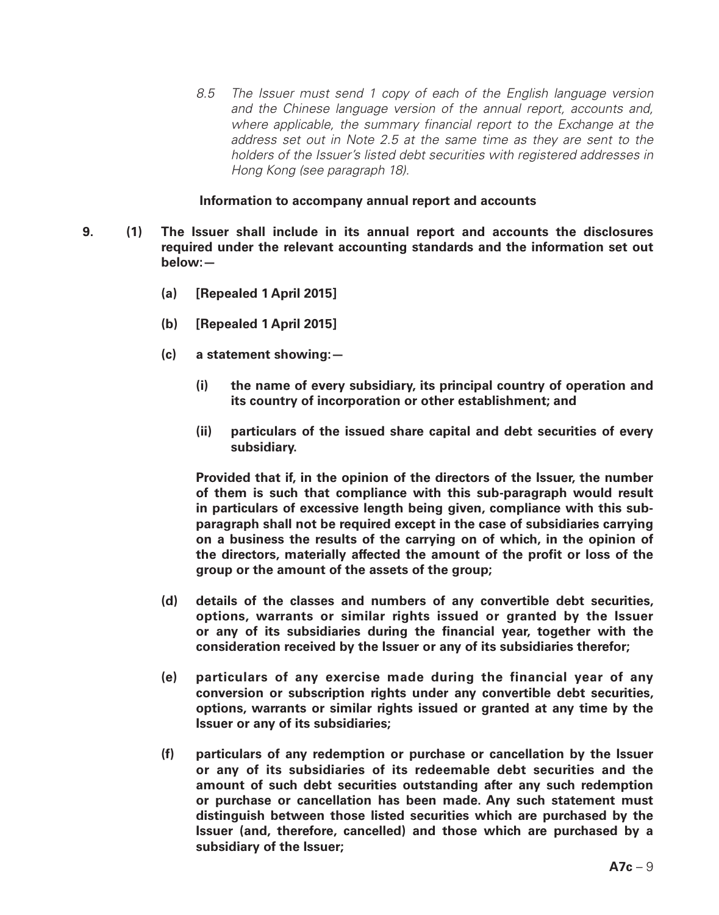*8.5 The Issuer must send 1 copy of each of the English language version and the Chinese language version of the annual report, accounts and, where applicable, the summary financial report to the Exchange at the address set out in Note 2.5 at the same time as they are sent to the holders of the Issuer's listed debt securities with registered addresses in Hong Kong (see paragraph 18).*

#### **Information to accompany annual report and accounts**

- **9. (1) The Issuer shall include in its annual report and accounts the disclosures required under the relevant accounting standards and the information set out below:—**
	- **(a) [Repealed 1 April 2015]**
	- **(b) [Repealed 1 April 2015]**
	- **(c) a statement showing:—**
		- **(i) the name of every subsidiary, its principal country of operation and its country of incorporation or other establishment; and**
		- **(ii) particulars of the issued share capital and debt securities of every subsidiary.**

**Provided that if, in the opinion of the directors of the Issuer, the number of them is such that compliance with this sub-paragraph would result in particulars of excessive length being given, compliance with this subparagraph shall not be required except in the case of subsidiaries carrying on a business the results of the carrying on of which, in the opinion of the directors, materially affected the amount of the profit or loss of the group or the amount of the assets of the group;**

- **(d) details of the classes and numbers of any convertible debt securities, options, warrants or similar rights issued or granted by the Issuer or any of its subsidiaries during the financial year, together with the consideration received by the Issuer or any of its subsidiaries therefor;**
- **(e) particulars of any exercise made during the financial year of any conversion or subscription rights under any convertible debt securities, options, warrants or similar rights issued or granted at any time by the Issuer or any of its subsidiaries;**
- **(f) particulars of any redemption or purchase or cancellation by the Issuer or any of its subsidiaries of its redeemable debt securities and the amount of such debt securities outstanding after any such redemption or purchase or cancellation has been made. Any such statement must distinguish between those listed securities which are purchased by the Issuer (and, therefore, cancelled) and those which are purchased by a subsidiary of the Issuer;**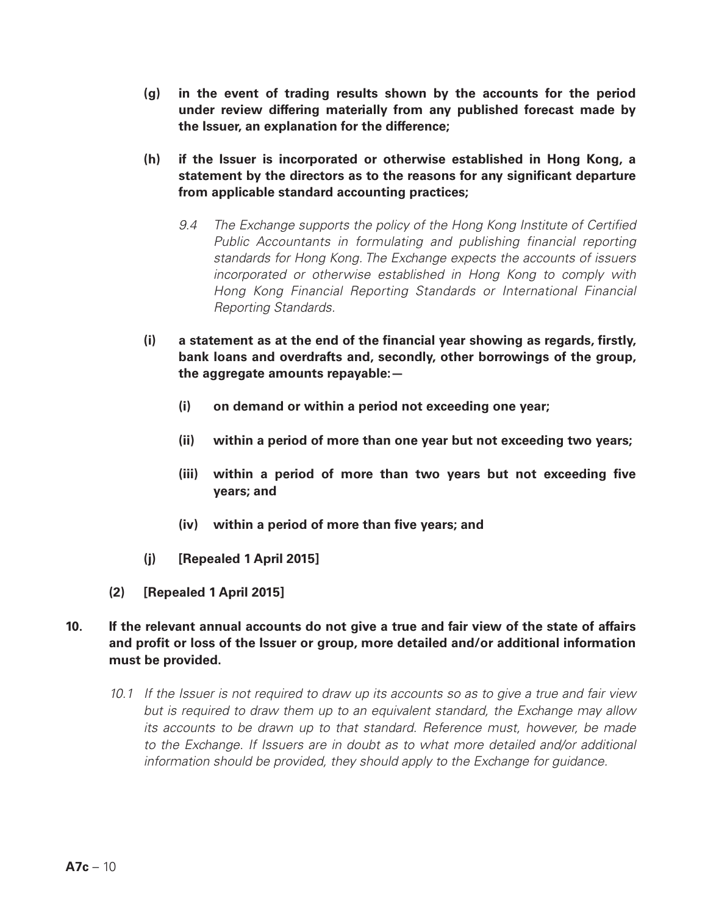- **(g) in the event of trading results shown by the accounts for the period under review differing materially from any published forecast made by the Issuer, an explanation for the difference;**
- **(h) if the Issuer is incorporated or otherwise established in Hong Kong, a statement by the directors as to the reasons for any significant departure from applicable standard accounting practices;**
	- *9.4 The Exchange supports the policy of the Hong Kong Institute of Certified Public Accountants in formulating and publishing financial reporting standards for Hong Kong. The Exchange expects the accounts of issuers incorporated or otherwise established in Hong Kong to comply with Hong Kong Financial Reporting Standards or International Financial Reporting Standards.*
- **(i) a statement as at the end of the financial year showing as regards, firstly, bank loans and overdrafts and, secondly, other borrowings of the group, the aggregate amounts repayable:—**
	- **(i) on demand or within a period not exceeding one year;**
	- **(ii) within a period of more than one year but not exceeding two years;**
	- **(iii) within a period of more than two years but not exceeding five years; and**
	- **(iv) within a period of more than five years; and**
- **(j) [Repealed 1 April 2015]**
- **(2) [Repealed 1 April 2015]**
- **10. If the relevant annual accounts do not give a true and fair view of the state of affairs and profit or loss of the Issuer or group, more detailed and/or additional information must be provided.**
	- *10.1 If the Issuer is not required to draw up its accounts so as to give a true and fair view but is required to draw them up to an equivalent standard, the Exchange may allow its accounts to be drawn up to that standard. Reference must, however, be made* to the Exchange. If Issuers are in doubt as to what more detailed and/or additional *information should be provided, they should apply to the Exchange for guidance.*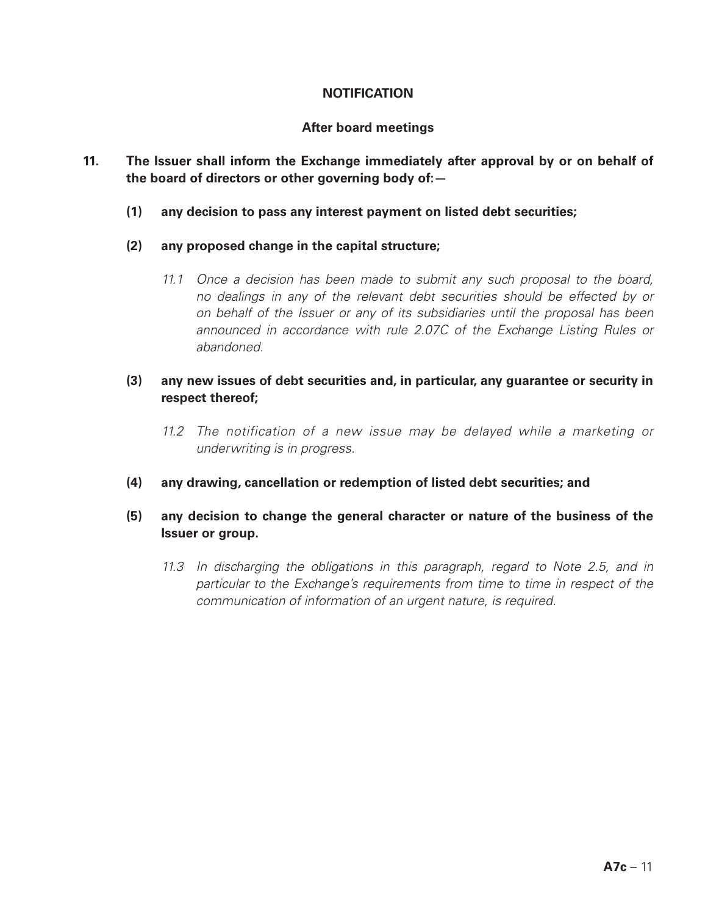## **NOTIFICATION**

## **After board meetings**

## **11. The Issuer shall inform the Exchange immediately after approval by or on behalf of the board of directors or other governing body of:—**

- **(1) any decision to pass any interest payment on listed debt securities;**
- **(2) any proposed change in the capital structure;**
	- *11.1 Once a decision has been made to submit any such proposal to the board, no dealings in any of the relevant debt securities should be effected by or on behalf of the Issuer or any of its subsidiaries until the proposal has been announced in accordance with rule 2.07C of the Exchange Listing Rules or abandoned.*

## **(3) any new issues of debt securities and, in particular, any guarantee or security in respect thereof;**

- *11.2 The notification of a new issue may be delayed while a marketing or underwriting is in progress.*
- **(4) any drawing, cancellation or redemption of listed debt securities; and**

# **(5) any decision to change the general character or nature of the business of the Issuer or group.**

*11.3 In discharging the obligations in this paragraph, regard to Note 2.5, and in particular to the Exchange's requirements from time to time in respect of the communication of information of an urgent nature, is required.*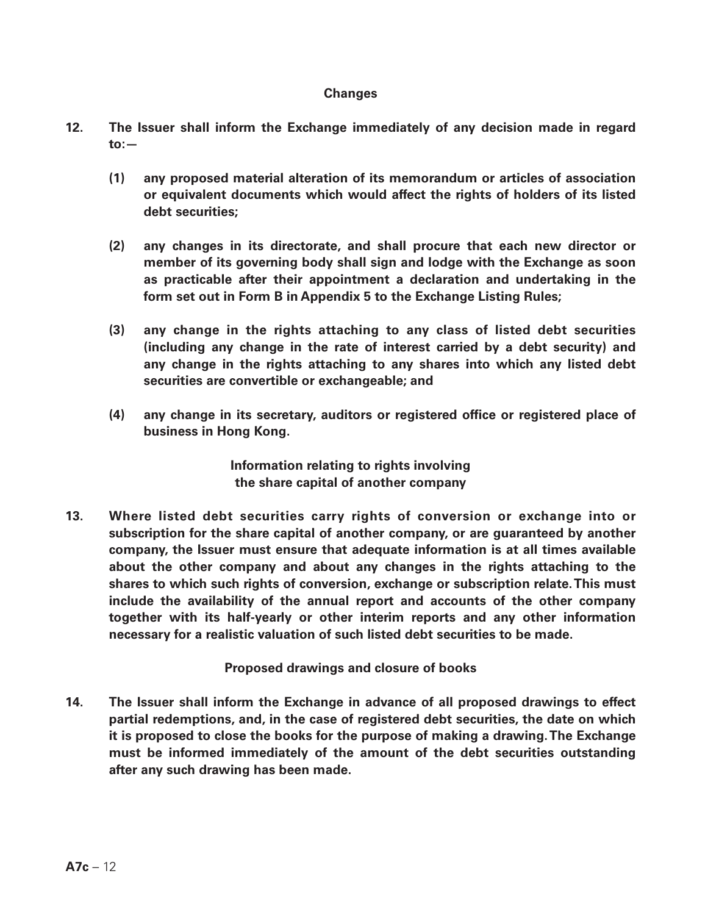### **Changes**

- **12. The Issuer shall inform the Exchange immediately of any decision made in regard to:—**
	- **(1) any proposed material alteration of its memorandum or articles of association or equivalent documents which would affect the rights of holders of its listed debt securities;**
	- **(2) any changes in its directorate, and shall procure that each new director or member of its governing body shall sign and lodge with the Exchange as soon as practicable after their appointment a declaration and undertaking in the form set out in Form B in Appendix 5 to the Exchange Listing Rules;**
	- **(3) any change in the rights attaching to any class of listed debt securities (including any change in the rate of interest carried by a debt security) and any change in the rights attaching to any shares into which any listed debt securities are convertible or exchangeable; and**
	- **(4) any change in its secretary, auditors or registered office or registered place of business in Hong Kong.**

**Information relating to rights involving the share capital of another company**

**13. Where listed debt securities carry rights of conversion or exchange into or subscription for the share capital of another company, or are guaranteed by another company, the Issuer must ensure that adequate information is at all times available about the other company and about any changes in the rights attaching to the shares to which such rights of conversion, exchange or subscription relate. This must include the availability of the annual report and accounts of the other company together with its half-yearly or other interim reports and any other information necessary for a realistic valuation of such listed debt securities to be made.**

**Proposed drawings and closure of books**

**14. The Issuer shall inform the Exchange in advance of all proposed drawings to effect partial redemptions, and, in the case of registered debt securities, the date on which it is proposed to close the books for the purpose of making a drawing. The Exchange must be informed immediately of the amount of the debt securities outstanding after any such drawing has been made.**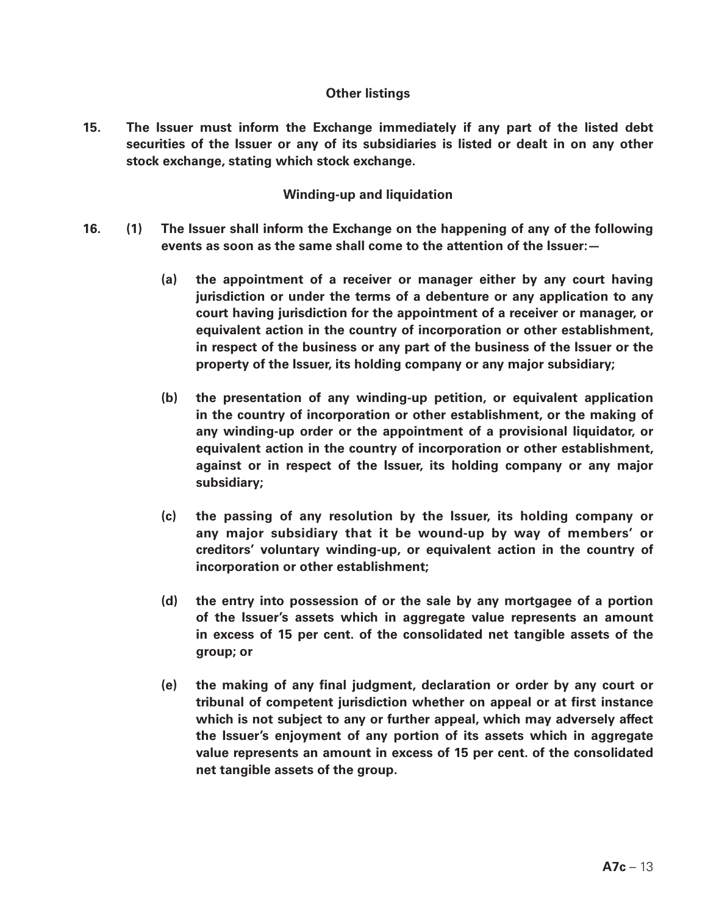### **Other listings**

**15. The Issuer must inform the Exchange immediately if any part of the listed debt securities of the Issuer or any of its subsidiaries is listed or dealt in on any other stock exchange, stating which stock exchange.**

### **Winding-up and liquidation**

- **16. (1) The Issuer shall inform the Exchange on the happening of any of the following events as soon as the same shall come to the attention of the Issuer:—**
	- **(a) the appointment of a receiver or manager either by any court having jurisdiction or under the terms of a debenture or any application to any court having jurisdiction for the appointment of a receiver or manager, or equivalent action in the country of incorporation or other establishment, in respect of the business or any part of the business of the Issuer or the property of the Issuer, its holding company or any major subsidiary;**
	- **(b) the presentation of any winding-up petition, or equivalent application in the country of incorporation or other establishment, or the making of any winding-up order or the appointment of a provisional liquidator, or equivalent action in the country of incorporation or other establishment, against or in respect of the Issuer, its holding company or any major subsidiary;**
	- **(c) the passing of any resolution by the Issuer, its holding company or any major subsidiary that it be wound-up by way of members' or creditors' voluntary winding-up, or equivalent action in the country of incorporation or other establishment;**
	- **(d) the entry into possession of or the sale by any mortgagee of a portion of the Issuer's assets which in aggregate value represents an amount in excess of 15 per cent. of the consolidated net tangible assets of the group; or**
	- **(e) the making of any final judgment, declaration or order by any court or tribunal of competent jurisdiction whether on appeal or at first instance which is not subject to any or further appeal, which may adversely affect the Issuer's enjoyment of any portion of its assets which in aggregate value represents an amount in excess of 15 per cent. of the consolidated net tangible assets of the group.**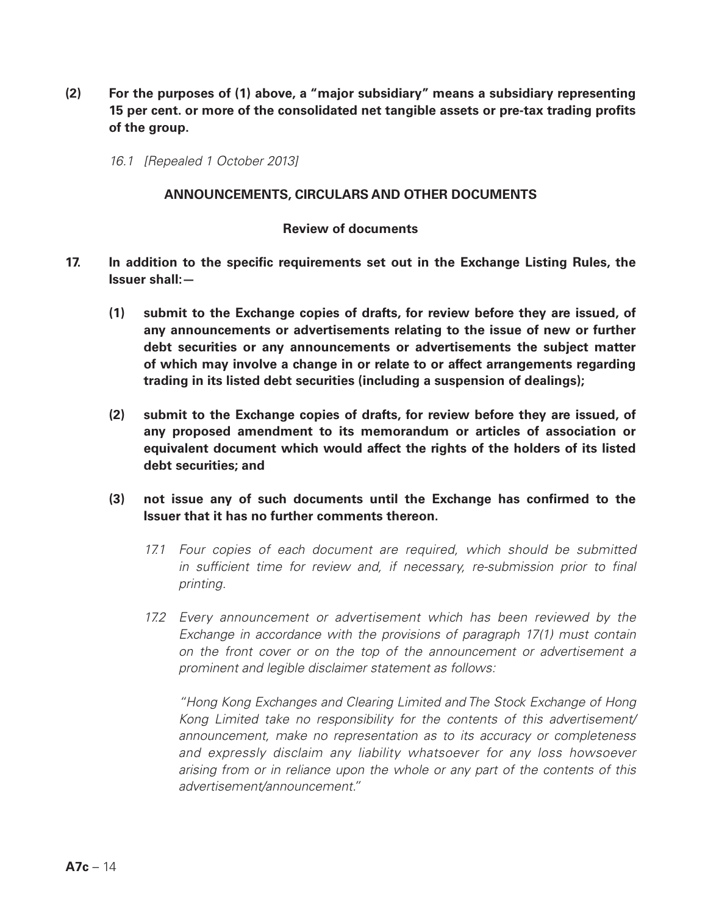- **(2) For the purposes of (1) above, a "major subsidiary" means a subsidiary representing 15 per cent. or more of the consolidated net tangible assets or pre-tax trading profits of the group.**
	- *16.1 [Repealed 1 October 2013]*

#### **ANNOUNCEMENTS, CIRCULARS AND OTHER DOCUMENTS**

## **Review of documents**

- **17. In addition to the specific requirements set out in the Exchange Listing Rules, the Issuer shall:—**
	- **(1) submit to the Exchange copies of drafts, for review before they are issued, of any announcements or advertisements relating to the issue of new or further debt securities or any announcements or advertisements the subject matter of which may involve a change in or relate to or affect arrangements regarding trading in its listed debt securities (including a suspension of dealings);**
	- **(2) submit to the Exchange copies of drafts, for review before they are issued, of any proposed amendment to its memorandum or articles of association or equivalent document which would affect the rights of the holders of its listed debt securities; and**
	- **(3) not issue any of such documents until the Exchange has confirmed to the Issuer that it has no further comments thereon.**
		- *17.1 Four copies of each document are required, which should be submitted in sufficient time for review and, if necessary, re-submission prior to final printing.*
		- *17.2 Every announcement or advertisement which has been reviewed by the Exchange in accordance with the provisions of paragraph 17(1) must contain on the front cover or on the top of the announcement or advertisement a prominent and legible disclaimer statement as follows:*

*"Hong Kong Exchanges and Clearing Limited and The Stock Exchange of Hong Kong Limited take no responsibility for the contents of this advertisement/ announcement, make no representation as to its accuracy or completeness and expressly disclaim any liability whatsoever for any loss howsoever arising from or in reliance upon the whole or any part of the contents of this advertisement/announcement."*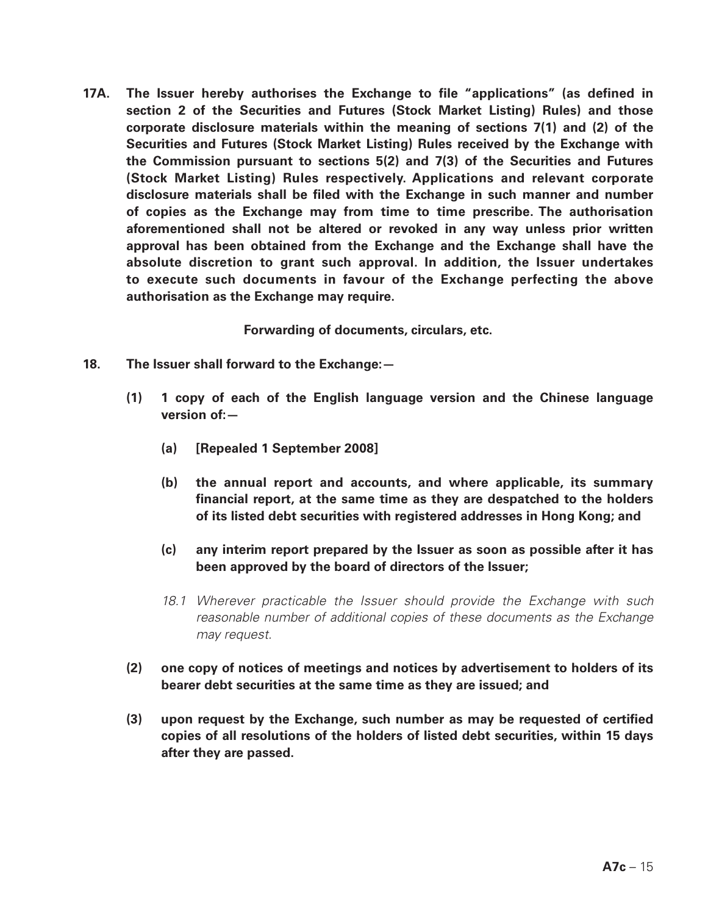**17A. The Issuer hereby authorises the Exchange to file "applications" (as defined in section 2 of the Securities and Futures (Stock Market Listing) Rules) and those corporate disclosure materials within the meaning of sections 7(1) and (2) of the Securities and Futures (Stock Market Listing) Rules received by the Exchange with the Commission pursuant to sections 5(2) and 7(3) of the Securities and Futures (Stock Market Listing) Rules respectively. Applications and relevant corporate disclosure materials shall be filed with the Exchange in such manner and number of copies as the Exchange may from time to time prescribe. The authorisation aforementioned shall not be altered or revoked in any way unless prior written approval has been obtained from the Exchange and the Exchange shall have the absolute discretion to grant such approval. In addition, the Issuer undertakes to execute such documents in favour of the Exchange perfecting the above authorisation as the Exchange may require.**

**Forwarding of documents, circulars, etc.**

- **18. The Issuer shall forward to the Exchange:—**
	- **(1) 1 copy of each of the English language version and the Chinese language version of:—**
		- **(a) [Repealed 1 September 2008]**
		- **(b) the annual report and accounts, and where applicable, its summary financial report, at the same time as they are despatched to the holders of its listed debt securities with registered addresses in Hong Kong; and**
		- **(c) any interim report prepared by the Issuer as soon as possible after it has been approved by the board of directors of the Issuer;**
		- *18.1 Wherever practicable the Issuer should provide the Exchange with such reasonable number of additional copies of these documents as the Exchange may request.*
	- **(2) one copy of notices of meetings and notices by advertisement to holders of its bearer debt securities at the same time as they are issued; and**
	- **(3) upon request by the Exchange, such number as may be requested of certified copies of all resolutions of the holders of listed debt securities, within 15 days after they are passed.**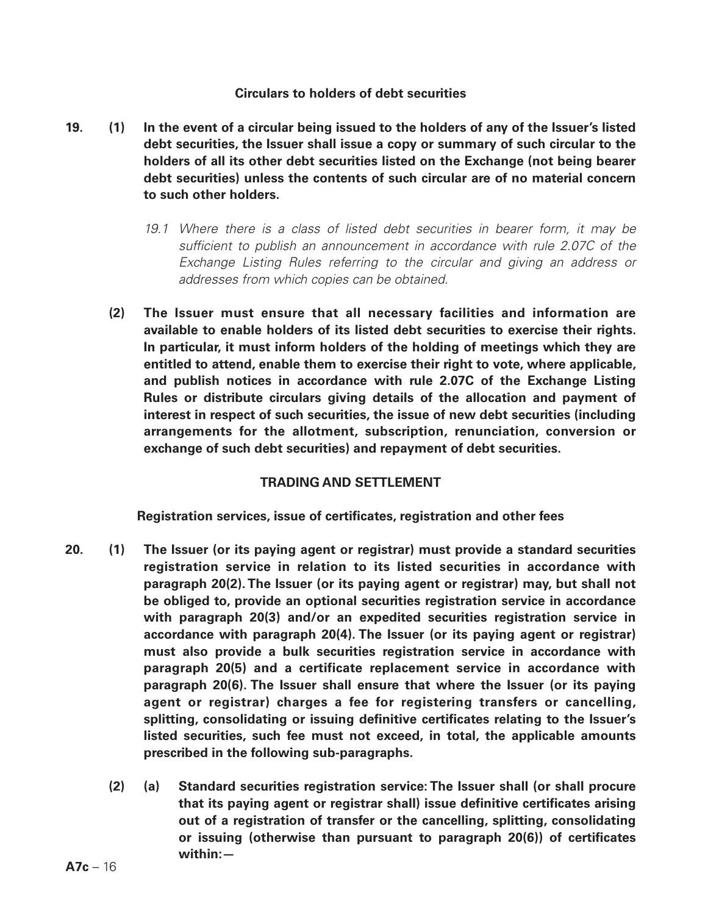### **Circulars to holders of debt securities**

- **19. (1) In the event of a circular being issued to the holders of any of the Issuer's listed debt securities, the Issuer shall issue a copy or summary of such circular to the holders of all its other debt securities listed on the Exchange (not being bearer debt securities) unless the contents of such circular are of no material concern to such other holders.**
	- *19.1 Where there is a class of listed debt securities in bearer form, it may be sufficient to publish an announcement in accordance with rule 2.07C of the Exchange Listing Rules referring to the circular and giving an address or addresses from which copies can be obtained.*
	- **(2) The Issuer must ensure that all necessary facilities and information are available to enable holders of its listed debt securities to exercise their rights. In particular, it must inform holders of the holding of meetings which they are entitled to attend, enable them to exercise their right to vote, where applicable, and publish notices in accordance with rule 2.07C of the Exchange Listing Rules or distribute circulars giving details of the allocation and payment of interest in respect of such securities, the issue of new debt securities (including arrangements for the allotment, subscription, renunciation, conversion or exchange of such debt securities) and repayment of debt securities.**

# **TRADING AND SETTLEMENT**

**Registration services, issue of certificates, registration and other fees**

- **20. (1) The Issuer (or its paying agent or registrar) must provide a standard securities registration service in relation to its listed securities in accordance with paragraph 20(2). The Issuer (or its paying agent or registrar) may, but shall not be obliged to, provide an optional securities registration service in accordance with paragraph 20(3) and/or an expedited securities registration service in accordance with paragraph 20(4). The Issuer (or its paying agent or registrar) must also provide a bulk securities registration service in accordance with paragraph 20(5) and a certificate replacement service in accordance with paragraph 20(6). The Issuer shall ensure that where the Issuer (or its paying agent or registrar) charges a fee for registering transfers or cancelling, splitting, consolidating or issuing definitive certificates relating to the Issuer's listed securities, such fee must not exceed, in total, the applicable amounts prescribed in the following sub-paragraphs.**
	- **(2) (a) Standard securities registration service: The Issuer shall (or shall procure that its paying agent or registrar shall) issue definitive certificates arising out of a registration of transfer or the cancelling, splitting, consolidating or issuing (otherwise than pursuant to paragraph 20(6)) of certificates within:—**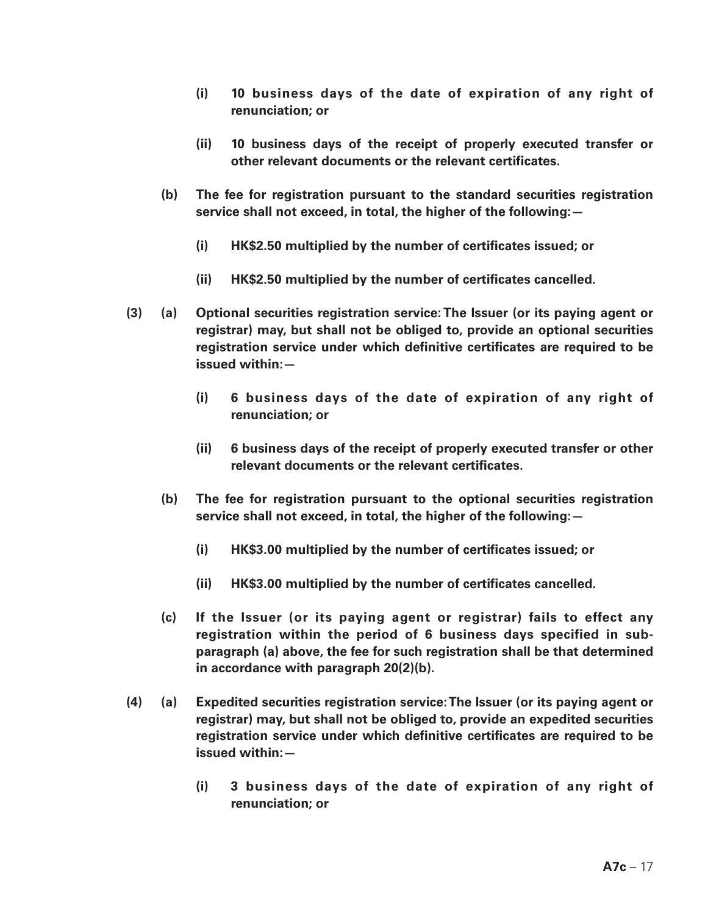- **(i) 10 business days of the date of expiration of any right of renunciation; or**
- **(ii) 10 business days of the receipt of properly executed transfer or other relevant documents or the relevant certificates.**
- **(b) The fee for registration pursuant to the standard securities registration service shall not exceed, in total, the higher of the following:—**
	- **(i) HK\$2.50 multiplied by the number of certificates issued; or**
	- **(ii) HK\$2.50 multiplied by the number of certificates cancelled.**
- **(3) (a) Optional securities registration service: The Issuer (or its paying agent or registrar) may, but shall not be obliged to, provide an optional securities registration service under which definitive certificates are required to be issued within:—**
	- **(i) 6 business days of the date of expiration of any right of renunciation; or**
	- **(ii) 6 business days of the receipt of properly executed transfer or other relevant documents or the relevant certificates.**
	- **(b) The fee for registration pursuant to the optional securities registration service shall not exceed, in total, the higher of the following:—**
		- **(i) HK\$3.00 multiplied by the number of certificates issued; or**
		- **(ii) HK\$3.00 multiplied by the number of certificates cancelled.**
	- **(c) If the Issuer (or its paying agent or registrar) fails to effect any registration within the period of 6 business days specified in subparagraph (a) above, the fee for such registration shall be that determined in accordance with paragraph 20(2)(b).**
- **(4) (a) Expedited securities registration service: The Issuer (or its paying agent or registrar) may, but shall not be obliged to, provide an expedited securities registration service under which definitive certificates are required to be issued within:—**
	- **(i) 3 business days of the date of expiration of any right of renunciation; or**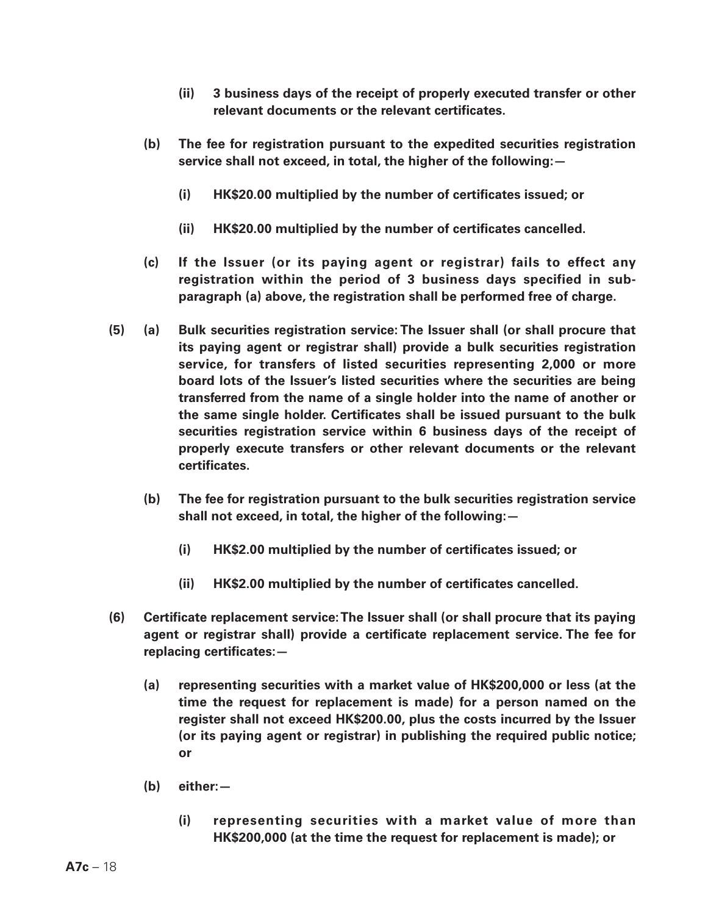- **(ii) 3 business days of the receipt of properly executed transfer or other relevant documents or the relevant certificates.**
- **(b) The fee for registration pursuant to the expedited securities registration service shall not exceed, in total, the higher of the following:—**
	- **(i) HK\$20.00 multiplied by the number of certificates issued; or**
	- **(ii) HK\$20.00 multiplied by the number of certificates cancelled.**
- **(c) If the Issuer (or its paying agent or registrar) fails to effect any registration within the period of 3 business days specified in subparagraph (a) above, the registration shall be performed free of charge.**
- **(5) (a) Bulk securities registration service: The Issuer shall (or shall procure that its paying agent or registrar shall) provide a bulk securities registration service, for transfers of listed securities representing 2,000 or more board lots of the Issuer's listed securities where the securities are being transferred from the name of a single holder into the name of another or the same single holder. Certificates shall be issued pursuant to the bulk securities registration service within 6 business days of the receipt of properly execute transfers or other relevant documents or the relevant certificates.**
	- **(b) The fee for registration pursuant to the bulk securities registration service shall not exceed, in total, the higher of the following:—**
		- **(i) HK\$2.00 multiplied by the number of certificates issued; or**
		- **(ii) HK\$2.00 multiplied by the number of certificates cancelled.**
- **(6) Certificate replacement service: The Issuer shall (or shall procure that its paying agent or registrar shall) provide a certificate replacement service. The fee for replacing certificates:—**
	- **(a) representing securities with a market value of HK\$200,000 or less (at the time the request for replacement is made) for a person named on the register shall not exceed HK\$200.00, plus the costs incurred by the Issuer (or its paying agent or registrar) in publishing the required public notice; or**
	- **(b) either:—**
		- **(i) representing securities with a market value of more than HK\$200,000 (at the time the request for replacement is made); or**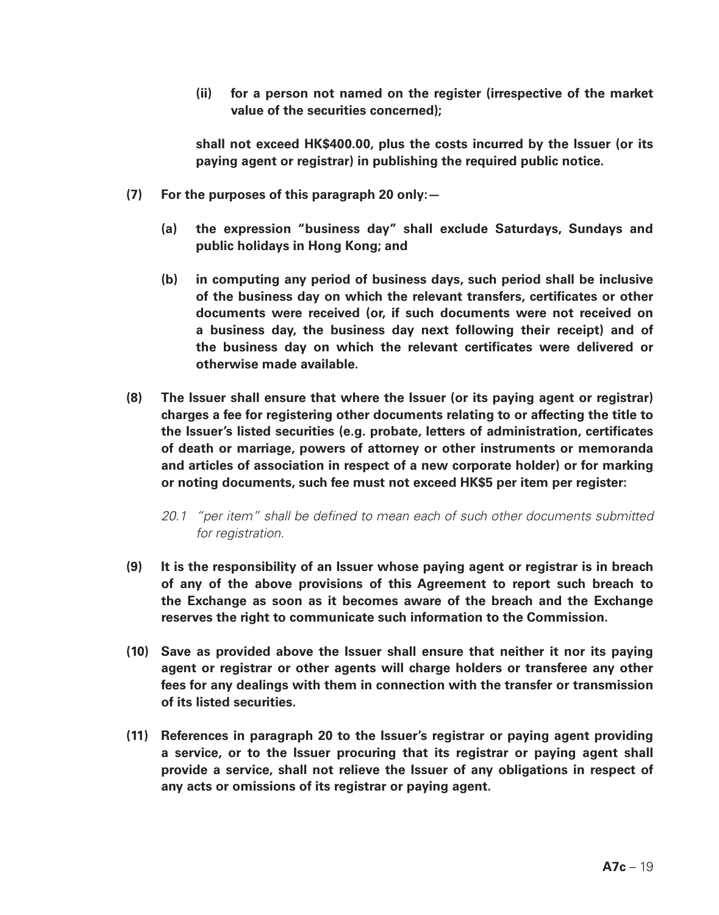**(ii) for a person not named on the register (irrespective of the market value of the securities concerned);**

**shall not exceed HK\$400.00, plus the costs incurred by the Issuer (or its paying agent or registrar) in publishing the required public notice.**

- **(7) For the purposes of this paragraph 20 only:—**
	- **(a) the expression "business day" shall exclude Saturdays, Sundays and public holidays in Hong Kong; and**
	- **(b) in computing any period of business days, such period shall be inclusive of the business day on which the relevant transfers, certificates or other documents were received (or, if such documents were not received on a business day, the business day next following their receipt) and of the business day on which the relevant certificates were delivered or otherwise made available.**
- **(8) The Issuer shall ensure that where the Issuer (or its paying agent or registrar) charges a fee for registering other documents relating to or affecting the title to the Issuer's listed securities (e.g. probate, letters of administration, certificates of death or marriage, powers of attorney or other instruments or memoranda and articles of association in respect of a new corporate holder) or for marking or noting documents, such fee must not exceed HK\$5 per item per register:**
	- *20.1 "per item" shall be defined to mean each of such other documents submitted for registration.*
- **(9) It is the responsibility of an Issuer whose paying agent or registrar is in breach of any of the above provisions of this Agreement to report such breach to the Exchange as soon as it becomes aware of the breach and the Exchange reserves the right to communicate such information to the Commission.**
- **(10) Save as provided above the Issuer shall ensure that neither it nor its paying agent or registrar or other agents will charge holders or transferee any other fees for any dealings with them in connection with the transfer or transmission of its listed securities.**
- **(11) References in paragraph 20 to the Issuer's registrar or paying agent providing a service, or to the Issuer procuring that its registrar or paying agent shall provide a service, shall not relieve the Issuer of any obligations in respect of any acts or omissions of its registrar or paying agent.**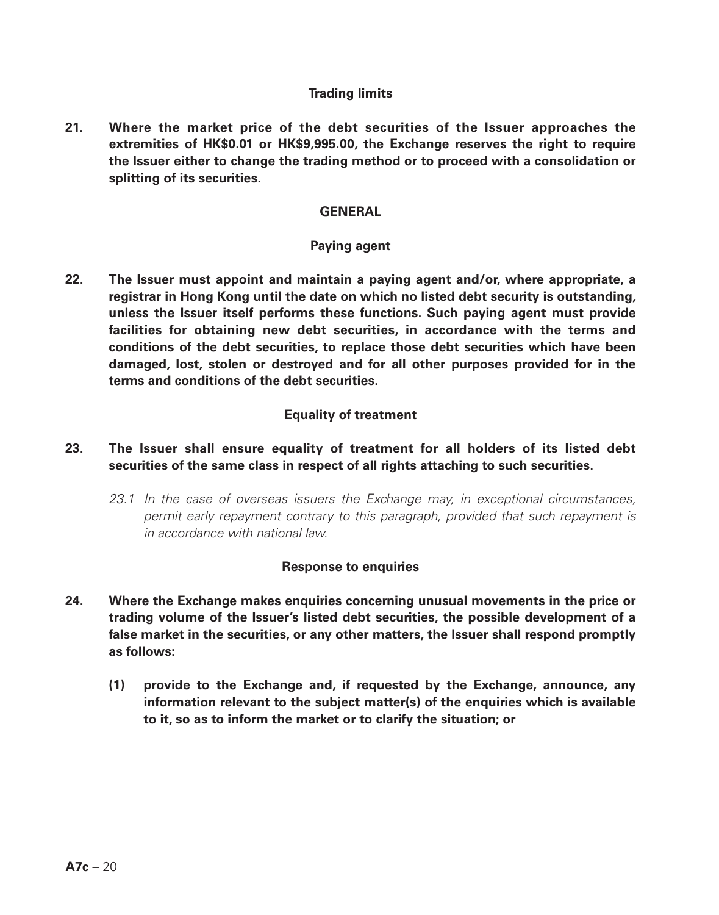### **Trading limits**

**21. Where the market price of the debt securities of the Issuer approaches the extremities of HK\$0.01 or HK\$9,995.00, the Exchange reserves the right to require the Issuer either to change the trading method or to proceed with a consolidation or splitting of its securities.**

### **GENERAL**

#### **Paying agent**

**22. The Issuer must appoint and maintain a paying agent and/or, where appropriate, a registrar in Hong Kong until the date on which no listed debt security is outstanding, unless the Issuer itself performs these functions. Such paying agent must provide facilities for obtaining new debt securities, in accordance with the terms and conditions of the debt securities, to replace those debt securities which have been damaged, lost, stolen or destroyed and for all other purposes provided for in the terms and conditions of the debt securities.**

### **Equality of treatment**

## **23. The Issuer shall ensure equality of treatment for all holders of its listed debt securities of the same class in respect of all rights attaching to such securities.**

*23.1 In the case of overseas issuers the Exchange may, in exceptional circumstances, permit early repayment contrary to this paragraph, provided that such repayment is in accordance with national law.*

#### **Response to enquiries**

- **24. Where the Exchange makes enquiries concerning unusual movements in the price or trading volume of the Issuer's listed debt securities, the possible development of a false market in the securities, or any other matters, the Issuer shall respond promptly as follows:** 
	- **(1) provide to the Exchange and, if requested by the Exchange, announce, any information relevant to the subject matter(s) of the enquiries which is available to it, so as to inform the market or to clarify the situation; or**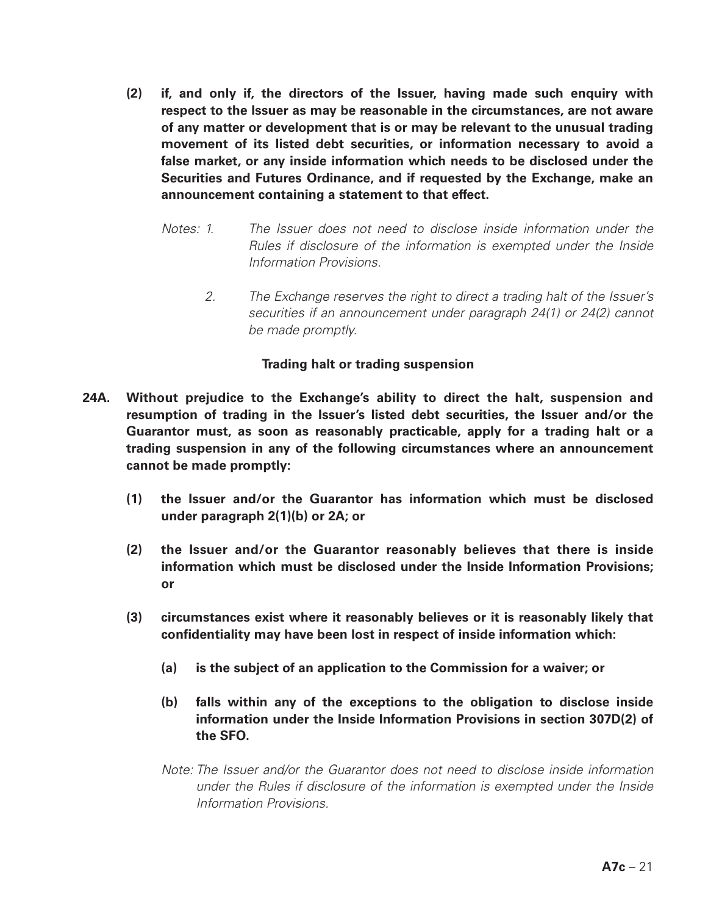- **(2) if, and only if, the directors of the Issuer, having made such enquiry with respect to the Issuer as may be reasonable in the circumstances, are not aware of any matter or development that is or may be relevant to the unusual trading movement of its listed debt securities, or information necessary to avoid a false market, or any inside information which needs to be disclosed under the Securities and Futures Ordinance, and if requested by the Exchange, make an announcement containing a statement to that effect.** 
	- *Notes: 1. The Issuer does not need to disclose inside information under the Rules if disclosure of the information is exempted under the Inside Information Provisions.*
		- *2. The Exchange reserves the right to direct a trading halt of the Issuer's securities if an announcement under paragraph 24(1) or 24(2) cannot be made promptly.*

## **Trading halt or trading suspension**

- **24A. Without prejudice to the Exchange's ability to direct the halt, suspension and resumption of trading in the Issuer's listed debt securities, the Issuer and/or the Guarantor must, as soon as reasonably practicable, apply for a trading halt or a trading suspension in any of the following circumstances where an announcement cannot be made promptly:**
	- **(1) the Issuer and/or the Guarantor has information which must be disclosed under paragraph 2(1)(b) or 2A; or**
	- **(2) the Issuer and/or the Guarantor reasonably believes that there is inside information which must be disclosed under the Inside Information Provisions; or**
	- **(3) circumstances exist where it reasonably believes or it is reasonably likely that confidentiality may have been lost in respect of inside information which:**
		- **(a) is the subject of an application to the Commission for a waiver; or**
		- **(b) falls within any of the exceptions to the obligation to disclose inside information under the Inside Information Provisions in section 307D(2) of the SFO.**
		- *Note: The Issuer and/or the Guarantor does not need to disclose inside information under the Rules if disclosure of the information is exempted under the Inside Information Provisions.*